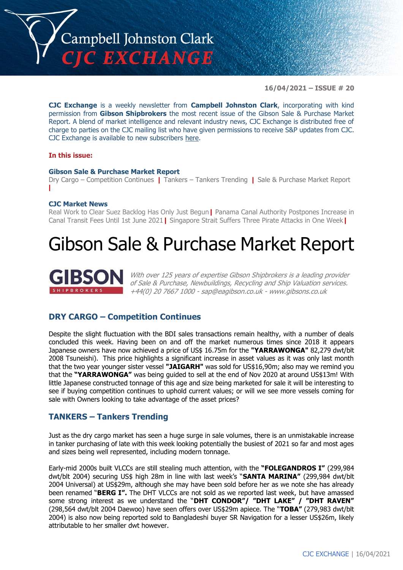

**16/04/2021 – ISSUE # 20**

**CJC Exchange** is a weekly newsletter from **Campbell Johnston Clark**, incorporating with kind permission from **Gibson Shipbrokers** the most recent issue of the Gibson Sale & Purchase Market Report. A blend of market intelligence and relevant industry news, CJC Exchange is distributed free of charge to parties on the CJC mailing list who have given permissions to receive S&P updates from CJC. CJC Exchange is available to new subscribers [here.](mailto:jamesc@cjclaw.com?subject=CJC%20Exchange%20sign-up)

### **In this issue:**

### **Gibson Sale & Purchase Market Report**

Dry Cargo – Competition Continues **|** Tankers – Tankers Trending **|** Sale & Purchase Market Report **|**

### **CJC Market News**

Real Work to Clear Suez Backlog Has Only Just Begun**|** Panama Canal Authority Postpones Increase in Canal Transit Fees Until 1st June 2021**|** Singapore Strait Suffers Three Pirate Attacks in One Week**|**

# Gibson Sale & Purchase Market Report



With over 125 years of expertise Gibson Shipbrokers is a leading provider of Sale & Purchase, Newbuildings, Recycling and Ship Valuation services. +44(0) 20 7667 1000 - [sap@eagibson.co.uk](mailto:sap@eagibson.co.uk) - [www.gibsons.co.uk](https://protect-eu.mimecast.com/s/VO6nCGZzRS60KqcK1jQh/)

# **DRY CARGO – Competition Continues**

Despite the slight fluctuation with the BDI sales transactions remain healthy, with a number of deals concluded this week. Having been on and off the market numerous times since 2018 it appears Japanese owners have now achieved a price of US\$ 16.75m for the **"YARRAWONGA"** 82,279 dwt/blt 2008 Tsuneishi). This price highlights a significant increase in asset values as it was only last month that the two year younger sister vessel **"JAIGARH"** was sold for US\$16,90m; also may we remind you that the **"YARRAWONGA"** was being guided to sell at the end of Nov 2020 at around US\$13m! With little Japanese constructed tonnage of this age and size being marketed for sale it will be interesting to see if buying competition continues to uphold current values; or will we see more vessels coming for sale with Owners looking to take advantage of the asset prices?

# **TANKERS – Tankers Trending**

Just as the dry cargo market has seen a huge surge in sale volumes, there is an unmistakable increase in tanker purchasing of late with this week looking potentially the busiest of 2021 so far and most ages and sizes being well represented, including modern tonnage.

Early-mid 2000s built VLCCs are still stealing much attention, with the **"FOLEGANDROS I"** (299,984 dwt/blt 2004) securing US\$ high 28m in line with last week's "**SANTA MARINA"** (299,984 dwt/blt 2004 Universal) at US\$29m, although she may have been sold before her as we note she has already been renamed "**BERG I".** The DHT VLCCs are not sold as we reported last week, but have amassed some strong interest as we understand the "**DHT CONDOR"/ "DHT LAKE" / "DHT RAVEN"** (298,564 dwt/blt 2004 Daewoo) have seen offers over US\$29m apiece. The "**TOBA"** (279,983 dwt/blt 2004) is also now being reported sold to Bangladeshi buyer SR Navigation for a lesser US\$26m, likely attributable to her smaller dwt however.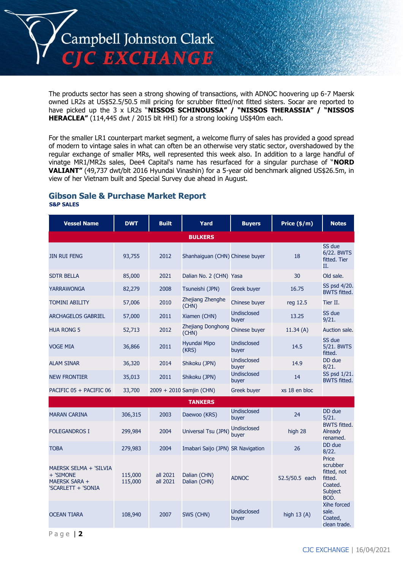

The products sector has seen a strong showing of transactions, with ADNOC hoovering up 6-7 Maersk owned LR2s at US\$52.5/50.5 mill pricing for scrubber fitted/not fitted sisters. Socar are reported to have picked up the 3 x LR2s "**NISSOS SCHINOUSSA" / "NISSOS THERASSIA" / "NISSOS HERACLEA"** (114,445 dwt / 2015 blt HHI) for a strong looking US\$40m each.

For the smaller LR1 counterpart market segment, a welcome flurry of sales has provided a good spread of modern to vintage sales in what can often be an otherwise very static sector, overshadowed by the regular exchange of smaller MRs, well represented this week also. In addition to a large handful of vinatge MR1/MR2s sales, Dee4 Capital's name has resurfaced for a singular purchase of "**NORD VALIANT"** (49,737 dwt/blt 2016 Hyundai Vinashin) for a 5-year old benchmark aligned US\$26.5m, in view of her Vietnam built and Special Survey due ahead in August.

### **Gibson Sale & Purchase Market Report S&P SALES**

| <b>Vessel Name</b>                                                         | <b>DWT</b>         | <b>Built</b>         | Yard                              | <b>Buyers</b>               | Price (\$/m)   | <b>Notes</b>                                                              |
|----------------------------------------------------------------------------|--------------------|----------------------|-----------------------------------|-----------------------------|----------------|---------------------------------------------------------------------------|
|                                                                            |                    |                      | <b>BULKERS</b>                    |                             |                |                                                                           |
| <b>JIN RUI FENG</b>                                                        | 93,755             | 2012                 | Shanhaiguan (CHN) Chinese buyer   |                             | 18             | SS due<br>6/22. BWTS<br>fitted. Tier<br>П.                                |
| <b>SDTR BELLA</b>                                                          | 85,000             | 2021                 | Dalian No. 2 (CHN) Yasa           |                             | 30             | Old sale.                                                                 |
| <b>YARRAWONGA</b>                                                          | 82,279             | 2008                 | Tsuneishi (JPN)                   | Greek buyer                 | 16.75          | SS psd 4/20.<br><b>BWTS fitted.</b>                                       |
| <b>TOMINI ABILITY</b>                                                      | 57,006             | 2010                 | Zhejiang Zhenghe<br>(CHN)         | Chinese buyer               | reg 12.5       | Tier II.                                                                  |
| <b>ARCHAGELOS GABRIEL</b>                                                  | 57,000             | 2011                 | Xiamen (CHN)                      | <b>Undisclosed</b><br>buyer | 13.25          | SS due<br>9/21.                                                           |
| <b>HUA RONG 5</b>                                                          | 52,713             | 2012                 | Zhejiang Donghong<br>(CHN)        | Chinese buyer               | 11.34(A)       | Auction sale.                                                             |
| <b>VOGE MIA</b>                                                            | 36,866             | 2011                 | Hyundai Mipo<br>(KRS)             | <b>Undisclosed</b><br>buyer | 14.5           | SS due<br>5/21. BWTS<br>fitted.                                           |
| <b>ALAM SINAR</b>                                                          | 36,320             | 2014                 | Shikoku (JPN)                     | <b>Undisclosed</b><br>buyer | 14.9           | DD due<br>8/21.                                                           |
| <b>NEW FRONTIER</b>                                                        | 35,013             | 2011                 | Shikoku (JPN)                     | <b>Undisclosed</b><br>buyer | 14             | SS psd 1/21.<br><b>BWTS fitted.</b>                                       |
| PACIFIC 05 + PACIFIC 06                                                    | 33,700             |                      | 2009 + 2010 Samjin (CHN)          | Greek buyer                 | xs 18 en bloc  |                                                                           |
|                                                                            |                    |                      | <b>TANKERS</b>                    |                             |                |                                                                           |
| <b>MARAN CARINA</b>                                                        | 306,315            | 2003                 | Daewoo (KRS)                      | <b>Undisclosed</b><br>buyer | 24             | DD due<br>5/21.                                                           |
| <b>FOLEGANDROS I</b>                                                       | 299,984            | 2004                 | Universal Tsu (JPN)               | <b>Undisclosed</b><br>buyer | high 28        | <b>BWTS fitted.</b><br>Already<br>renamed.                                |
| <b>TOBA</b>                                                                | 279,983            | 2004                 | Imabari Saijo (JPN) SR Navigation |                             | 26             | DD due<br>8/22.                                                           |
| MAERSK SELMA + 'SILVIA<br>+ 'SIMONE<br>MAERSK SARA +<br>'SCARLETT + 'SONIA | 115,000<br>115,000 | all 2021<br>all 2021 | Dalian (CHN)<br>Dalian (CHN)      | <b>ADNOC</b>                | 52.5/50.5 each | Price<br>scrubber<br>fitted, not<br>fitted.<br>Coated.<br>Subject<br>BOD. |
| <b>OCEAN TIARA</b>                                                         | 108,940            | 2007                 | SWS (CHN)                         | <b>Undisclosed</b><br>buyer | high $13(A)$   | Xihe forced<br>sale.<br>Coated,<br>clean trade.                           |

P a g e | **2**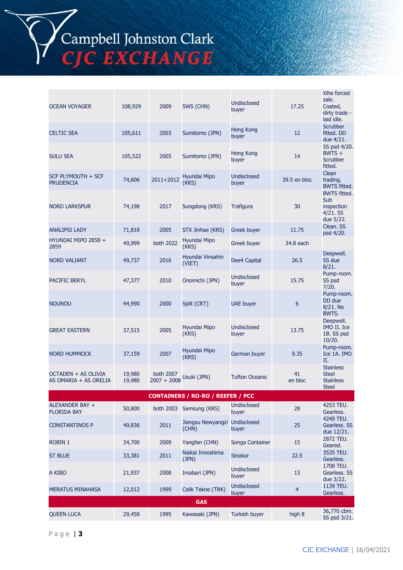# Campbell Johnston Clark C EXCHANGE

OCEAN VOYAGER 108,929 2009 SWS (CHN) Undisclosed buyer 17.25 Xihe forced sale. Coated, dirty trade laid idle. CELTIC SEA 105,611 <sup>2003</sup> Sumitomo (JPN) Hong Kong buyer 12 **Scrubber** fitted. DD due 4/21. SULU SEA 105,522 <sup>2005</sup> Sumitomo (JPN) Hong Kong hong Kong<br>buyer 14 SS psd 4/20. BWTS + **Scrubber** fitted. SCF PLYMOUTH + SCF 74,606 2011+2012 Hyundai Mipo<br>PRUDENCIA (KRS) Undisclosed buyer 39.5 en bloc Clean trading. BWTS fitted. NORD LARKSPUR 74,198 2017 Sungdong (KRS) Trafigura 30 BWTS fitted. Sub inspection 4/21. SS due 5/22. ANALIPSI LADY 2005 STX Jinhae (KRS) Greek buyer 11.75 Clean. SS psd 4/20. HYUNDAI MIPO 2858 + <sup>2859</sup> 49,999 both 2022 Hyundai Mipo Hyundai Mipo<br>(KRS) Greek buyer 34.8 each NORD VALIANT 49,737 2016 Hyundai Vinsahin Dee4 Capital 26.5 Deepwell. SS due 8/21. PACIFIC BERYL 47,377 <sup>2010</sup> Onomichi (JPN) Undisclosed buyer 15.75 Pump-room. SS psd 7/20. NOUNOU 44,990 2000 Split (CRT) UAE buyer 6 Pump-room. DD due 8/21. No BWTS. GREAT EASTERN 37,515 <sup>2005</sup> Hyundai Mipo (KRS) Undisclosed buyer 13.75 Deepwell. IMO II. Ice 1B. SS psd 10/20. NORD HUMMOCK 37,159 2007 Hyundai Mipo German buyer 9.35 Pump-room. Ice 1A. IMO II. OCTADEN + AS OLIVIA AS OMARIA + AS ORELIA 19,980 19,980 both 2007 2007 + 2008 Usuki (JPN) Tufton Oceanic <sup>41</sup> en bloc **Stainless** Steel **Stainless** Steel **CONTAINERS / RO-RO / REEFER / PCC** ALEXANDER BAY + ALEXANDER BAY + 50,800 both 2003 Samsung (KRS) Undisclosed<br>FLORIDA BAY buyer <sup>28</sup> 4253 TEU. Gearless. CONSTANTINOS P 49,836 <sup>2011</sup> Jiangsu Newyangzi (CHN) Undisclosed buyer 25 4249 TEU. Gearless. SS due 12/21. ROBIN 1 34,700 2009 Yangfan (CHN) Songa Container 15 2872 TEU. Geared. ST BLUE 33,381 <sup>2011</sup> Naikai Innoshima (JPN) Sinokor 22.5 3535 TEU. Gearless. A KIBO 21,937 <sup>2008</sup> Imabari (JPN) Undisclosed buyer 13 1708 TEU. Gearless. SS due 3/22. MERATUS MINAHASA 12,012 1999 Celik Tekne (TRK) Undisclosed buyer 4 1139 TEU. Gearless. **GAS** QUEEN LUCA 29,458 1995 Kawasaki (JPN) Turkish buyer high 8 36,770 cbm.

SS psd 3/21.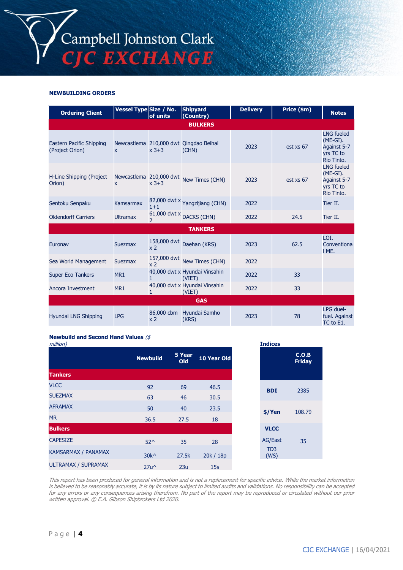### **NEWBUILDING ORDERS**

| <b>Ordering Client</b>                      | Vessel Type Size / No.              | of units                      | <b>Shipyard</b><br>(Country)                    | <b>Delivery</b> | Price (\$m) | <b>Notes</b>                                                              |
|---------------------------------------------|-------------------------------------|-------------------------------|-------------------------------------------------|-----------------|-------------|---------------------------------------------------------------------------|
|                                             |                                     |                               | <b>BULKERS</b>                                  |                 |             |                                                                           |
| Eastern Pacific Shipping<br>(Project Orion) | <b>X</b>                            | $x 3 + 3$                     | Newcastlema 210,000 dwt Qingdao Beihai<br>(CHN) | 2023            | est xs 67   | <b>LNG fueled</b><br>$(ME-GI).$<br>Against 5-7<br>yrs TC to<br>Rio Tinto. |
| H-Line Shipping (Project<br>Orion)          | Newcastlema 210,000 dwt<br><b>X</b> | $x 3 + 3$                     | New Times (CHN)                                 | 2023            | est xs 67   | <b>LNG fueled</b><br>$(ME-GI).$<br>Against 5-7<br>yrs TC to<br>Rio Tinto. |
| Sentoku Senpaku                             | Kamsarmax                           | $1 + 1$                       | 82,000 dwt x Yangzijiang (CHN)                  | 2022            |             | Tier II.                                                                  |
| <b>Oldendorff Carriers</b>                  | <b>Ultramax</b>                     | $\mathcal{P}$                 | 61,000 dwt x DACKS (CHN)                        | 2022            | 24.5        | Tier II.                                                                  |
|                                             |                                     |                               | <b>TANKERS</b>                                  |                 |             |                                                                           |
| Euronav                                     | <b>Suezmax</b>                      | 158,000 dwt<br>x <sub>2</sub> | Daehan (KRS)                                    | 2023            | 62.5        | LOI.<br>Conventiona<br>I ME.                                              |
| Sea World Management                        | <b>Suezmax</b>                      | 157,000 dwt<br>x <sub>2</sub> | New Times (CHN)                                 | 2022            |             |                                                                           |
| <b>Super Eco Tankers</b>                    | MR1                                 | 1                             | 40,000 dwt x Hyundai Vinsahin<br>(VIET)         | 2022            | 33          |                                                                           |
| Ancora Investment                           | MR1                                 | 1                             | 40,000 dwt x Hyundai Vinsahin<br>(VIET)         | 2022            | 33          |                                                                           |
|                                             |                                     |                               | <b>GAS</b>                                      |                 |             |                                                                           |
| Hyundai LNG Shipping                        | <b>LPG</b>                          | 86,000 cbm<br>x 2             | Hyundai Samho<br>(KRS)                          | 2023            | 78          | LPG duel-<br>fuel. Against<br>TC to E1.                                   |

# **Newbuild and Second Hand Values** (\$

| million)                   |                 |                      |             | <b>Indices</b>          |
|----------------------------|-----------------|----------------------|-------------|-------------------------|
|                            | <b>Newbuild</b> | 5 Year<br><b>Old</b> | 10 Year Old |                         |
| <b>Tankers</b>             |                 |                      |             |                         |
| <b>VLCC</b>                | 92              | 69                   | 46.5        | <b>BDI</b>              |
| <b>SUEZMAX</b>             | 63              | 46                   | 30.5        |                         |
| <b>AFRAMAX</b>             | 50              | 40                   | 23.5        | $$$ /Yen                |
| <b>MR</b>                  | 36.5            | 27.5                 | 18          |                         |
| <b>Bulkers</b>             |                 |                      |             | <b>VLCC</b>             |
| <b>CAPESIZE</b>            | $52^{\wedge}$   | 35                   | 28          | AG/East                 |
| <b>KAMSARMAX / PANAMAX</b> | $30k^{\wedge}$  | 27.5k                | 20k / 18p   | TD <sub>3</sub><br>(WS) |
| <b>ULTRAMAX / SUPRAMAX</b> | $27u^{\wedge}$  | 23u                  | 15s         |                         |

This report has been produced for general information and is not a replacement for specific advice. While the market information is believed to be reasonably accurate, it is by its nature subject to limited audits and validations. No responsibility can be accepted for any errors or any consequences arising therefrom. No part of the report may be reproduced or circulated without our prior written approval. © E.A. Gibson Shipbrokers Ltd 2020.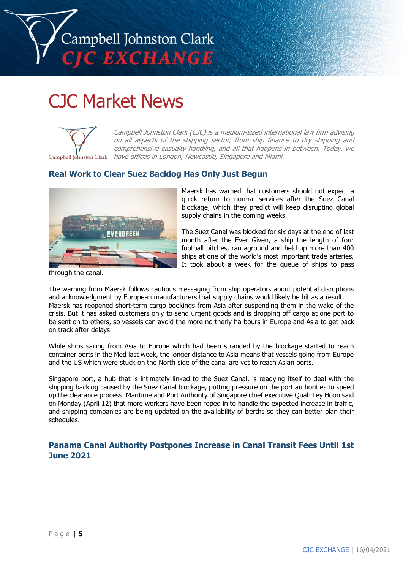

# CJC Market News



Campbell Johnston Clark (CJC) is a medium-sized international law firm advising on all aspects of the shipping sector, from ship finance to dry shipping and comprehensive casualty handling, and all that happens in between. Today, we have offices in London, Newcastle, Singapore and Miami.

# **Real Work to Clear Suez Backlog Has Only Just Begun**



Maersk has warned that customers should not expect a quick return to normal services after the Suez Canal blockage, which they predict will keep disrupting global supply chains in the coming weeks.

The Suez Canal was blocked for six days at the end of last month after the Ever Given, a ship the length of four football pitches, ran aground and held up more than 400 ships at one of the world's most important trade arteries. It took about a week for the queue of ships to pass

through the canal.

The warning from Maersk follows cautious messaging from ship operators about potential disruptions and acknowledgment by European manufacturers that supply chains would likely be hit as a result. Maersk has reopened short-term cargo bookings from Asia after suspending them in the wake of the crisis. But it has asked customers only to send urgent goods and is dropping off cargo at one port to be sent on to others, so vessels can avoid the more northerly harbours in Europe and Asia to get back on track after delays.

While ships sailing from Asia to Europe which had been stranded by the blockage started to reach container ports in the Med last week, the longer distance to Asia means that vessels going from Europe and the US which were stuck on the North side of the canal are yet to reach Asian ports.

Singapore port, a hub that is intimately linked to the Suez Canal, is readying itself to deal with the shipping backlog caused by the Suez Canal blockage, putting pressure on the port authorities to speed up the clearance process. Maritime and Port Authority of Singapore chief executive Quah Ley Hoon said on Monday (April 12) that more workers have been roped in to handle the expected increase in traffic, and shipping companies are being updated on the availability of berths so they can better plan their schedules.

**Panama Canal Authority Postpones Increase in Canal Transit Fees Until 1st June 2021**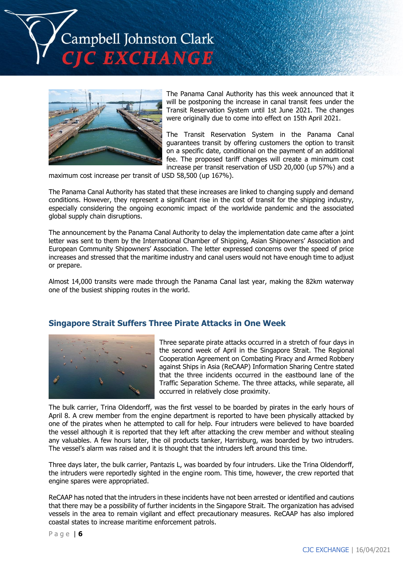ampbell Johnston Clark **EXCHANGE** 



The Panama Canal Authority has this week announced that it will be postponing the increase in canal transit fees under the Transit Reservation System until 1st June 2021. The changes were originally due to come into effect on 15th April 2021.

The Transit Reservation System in the Panama Canal guarantees transit by offering customers the option to transit on a specific date, conditional on the payment of an additional fee. The proposed tariff changes will create a minimum cost increase per transit reservation of USD 20,000 (up 57%) and a

maximum cost increase per transit of USD 58,500 (up 167%).

The Panama Canal Authority has stated that these increases are linked to changing supply and demand conditions. However, they represent a significant rise in the cost of transit for the shipping industry, especially considering the ongoing economic impact of the worldwide pandemic and the associated global supply chain disruptions.

The announcement by the Panama Canal Authority to delay the implementation date came after a joint letter was sent to them by the International Chamber of Shipping, Asian Shipowners' Association and European Community Shipowners' Association. The letter expressed concerns over the speed of price increases and stressed that the maritime industry and canal users would not have enough time to adjust or prepare.

Almost 14,000 transits were made through the Panama Canal last year, making the 82km waterway one of the busiest shipping routes in the world.

### **Singapore Strait Suffers Three Pirate Attacks in One Week**



Three separate pirate attacks occurred in a stretch of four days in the second week of April in the Singapore Strait. The Regional Cooperation Agreement on Combating Piracy and Armed Robbery against Ships in Asia (ReCAAP) Information Sharing Centre stated that the three incidents occurred in the eastbound lane of the Traffic Separation Scheme. The three attacks, while separate, all occurred in relatively close proximity.

The bulk carrier, Trina Oldendorff, was the first vessel to be boarded by pirates in the early hours of April 8. A crew member from the engine department is reported to have been physically attacked by one of the pirates when he attempted to call for help. Four intruders were believed to have boarded the vessel although it is reported that they left after attacking the crew member and without stealing any valuables. A few hours later, the oil products tanker, Harrisburg, was boarded by two intruders. The vessel's alarm was raised and it is thought that the intruders left around this time.

Three days later, the bulk carrier, Pantazis L, was boarded by four intruders. Like the Trina Oldendorff, the intruders were reportedly sighted in the engine room. This time, however, the crew reported that engine spares were appropriated.

ReCAAP has noted that the intruders in these incidents have not been arrested or identified and cautions that there may be a possibility of further incidents in the Singapore Strait. The organization has advised vessels in the area to remain vigilant and effect precautionary measures. ReCAAP has also implored coastal states to increase maritime enforcement patrols.